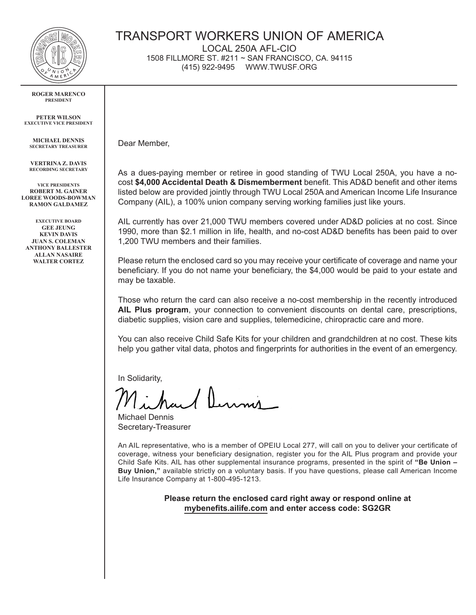

## **ROGER MARENCO PRESIDENT**

**PETER WILSON EXECUTIVE VICE PRESIDENT**

**MICHAEL DENNIS SECRETARY TREASURER**

**VERTRINA Z. DAVIS RECORDING SECRETARY**

**VICE PRESIDENTS ROBERT M. GAINER LOREE WOODS-BOWMAN RAMON GALDAMEZ**

**EXECUTIVE BOARD GEE JEUNG KEVIN DAVIS JUAN S. COLEMAN ANTHONY BALLESTER ALLAN NASAIRE WALTER CORTEZ**

## TRANSPORT WORKERS UNION OF AMERICA

LOCAL 250A AFL-CIO 1508 FILLMORE ST. #211 ~ SAN FRANCISCO, CA. 94115

(415) 922-9495 WWW.TWUSF.ORG

Dear Member,

As a dues-paying member or retiree in good standing of TWU Local 250A, you have a nocost **\$4,000 Accidental Death & Dismemberment** benefit. This AD&D benefit and other items listed below are provided jointly through TWU Local 250A and American Income Life Insurance Company (AIL), a 100% union company serving working families just like yours.

AIL currently has over 21,000 TWU members covered under AD&D policies at no cost. Since 1990, more than \$2.1 million in life, health, and no-cost AD&D benefits has been paid to over 1,200 TWU members and their families.

Please return the enclosed card so you may receive your certificate of coverage and name your beneficiary. If you do not name your beneficiary, the \$4,000 would be paid to your estate and may be taxable.

Those who return the card can also receive a no-cost membership in the recently introduced **AIL Plus program**, your connection to convenient discounts on dental care, prescriptions, diabetic supplies, vision care and supplies, telemedicine, chiropractic care and more.

You can also receive Child Safe Kits for your children and grandchildren at no cost. These kits help you gather vital data, photos and fingerprints for authorities in the event of an emergency.

In Solidarity,

Michael Dennis Secretary-Treasurer

An AIL representative, who is a member of OPEIU Local 277, will call on you to deliver your certificate of coverage, witness your beneficiary designation, register you for the AIL Plus program and provide your Child Safe Kits. AIL has other supplemental insurance programs, presented in the spirit of **"Be Union – Buy Union,"** available strictly on a voluntary basis. If you have questions, please call American Income Life Insurance Company at 1-800-495-1213.

> **Please return the enclosed card right away or respond online at mybenefits.ailife.com and enter access code: SG2GR**